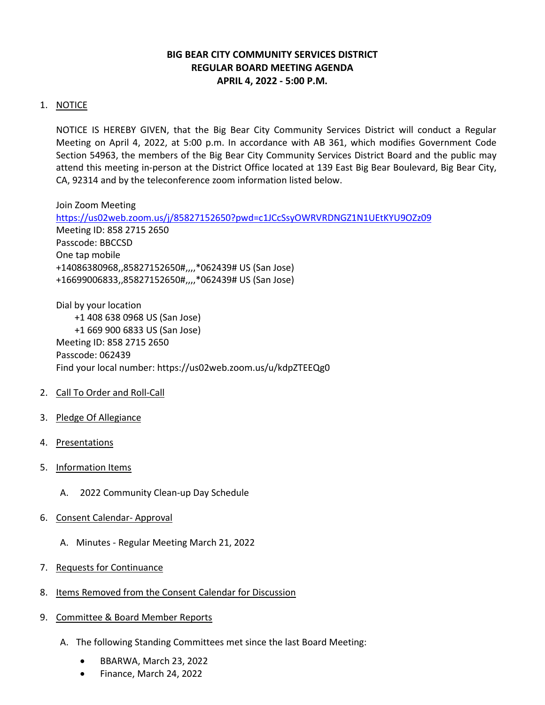# **BIG BEAR CITY COMMUNITY SERVICES DISTRICT REGULAR BOARD MEETING AGENDA APRIL 4, 2022 - 5:00 P.M.**

## 1. NOTICE

NOTICE IS HEREBY GIVEN, that the Big Bear City Community Services District will conduct a Regular Meeting on April 4, 2022, at 5:00 p.m. In accordance with AB 361, which modifies Government Code Section 54963, the members of the Big Bear City Community Services District Board and the public may attend this meeting in-person at the District Office located at 139 East Big Bear Boulevard, Big Bear City, CA, 92314 and by the teleconference zoom information listed below.

Join Zoom Meeting <https://us02web.zoom.us/j/85827152650?pwd=c1JCcSsyOWRVRDNGZ1N1UEtKYU9OZz09> Meeting ID: 858 2715 2650 Passcode: BBCCSD One tap mobile +14086380968,,85827152650#,,,,\*062439# US (San Jose) +16699006833,,85827152650#,,,,\*062439# US (San Jose)

Dial by your location +1 408 638 0968 US (San Jose) +1 669 900 6833 US (San Jose) Meeting ID: 858 2715 2650 Passcode: 062439 Find your local number: https://us02web.zoom.us/u/kdpZTEEQg0

- 2. Call To Order and Roll-Call
- 3. Pledge Of Allegiance
- 4. Presentations
- 5. Information Items
	- A. 2022 Community Clean-up Day Schedule
- 6. Consent Calendar- Approval
	- A. Minutes Regular Meeting March 21, 2022
- 7. Requests for Continuance
- 8. Items Removed from the Consent Calendar for Discussion
- 9. Committee & Board Member Reports
	- A. The following Standing Committees met since the last Board Meeting:
		- BBARWA, March 23, 2022
		- Finance, March 24, 2022